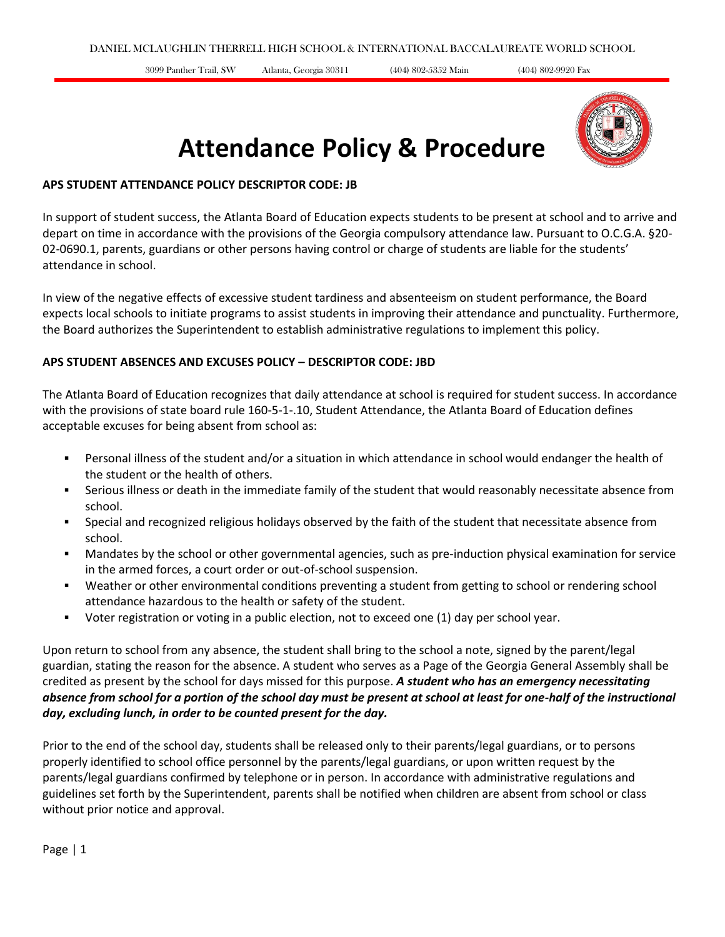3099 Panther Trail, SW Atlanta, Georgia 30311 (404) 802-5352 Main (404) 802-9920 Fax



# **Attendance Policy & Procedure**

#### **APS STUDENT ATTENDANCE POLICY DESCRIPTOR CODE: JB**

In support of student success, the Atlanta Board of Education expects students to be present at school and to arrive and depart on time in accordance with the provisions of the Georgia compulsory attendance law. Pursuant to O.C.G.A. §20- 02-0690.1, parents, guardians or other persons having control or charge of students are liable for the students' attendance in school.

In view of the negative effects of excessive student tardiness and absenteeism on student performance, the Board expects local schools to initiate programs to assist students in improving their attendance and punctuality. Furthermore, the Board authorizes the Superintendent to establish administrative regulations to implement this policy.

### **APS STUDENT ABSENCES AND EXCUSES POLICY – DESCRIPTOR CODE: JBD**

The Atlanta Board of Education recognizes that daily attendance at school is required for student success. In accordance with the provisions of state board rule 160-5-1-.10, Student Attendance, the Atlanta Board of Education defines acceptable excuses for being absent from school as:

- Personal illness of the student and/or a situation in which attendance in school would endanger the health of the student or the health of others.
- Serious illness or death in the immediate family of the student that would reasonably necessitate absence from school.
- Special and recognized religious holidays observed by the faith of the student that necessitate absence from school.
- Mandates by the school or other governmental agencies, such as pre-induction physical examination for service in the armed forces, a court order or out-of-school suspension.
- Weather or other environmental conditions preventing a student from getting to school or rendering school attendance hazardous to the health or safety of the student.
- Voter registration or voting in a public election, not to exceed one (1) day per school year.

Upon return to school from any absence, the student shall bring to the school a note, signed by the parent/legal guardian, stating the reason for the absence. A student who serves as a Page of the Georgia General Assembly shall be credited as present by the school for days missed for this purpose. *A student who has an emergency necessitating absence from school for a portion of the school day must be present at school at least for one-half of the instructional day, excluding lunch, in order to be counted present for the day.*

Prior to the end of the school day, students shall be released only to their parents/legal guardians, or to persons properly identified to school office personnel by the parents/legal guardians, or upon written request by the parents/legal guardians confirmed by telephone or in person. In accordance with administrative regulations and guidelines set forth by the Superintendent, parents shall be notified when children are absent from school or class without prior notice and approval.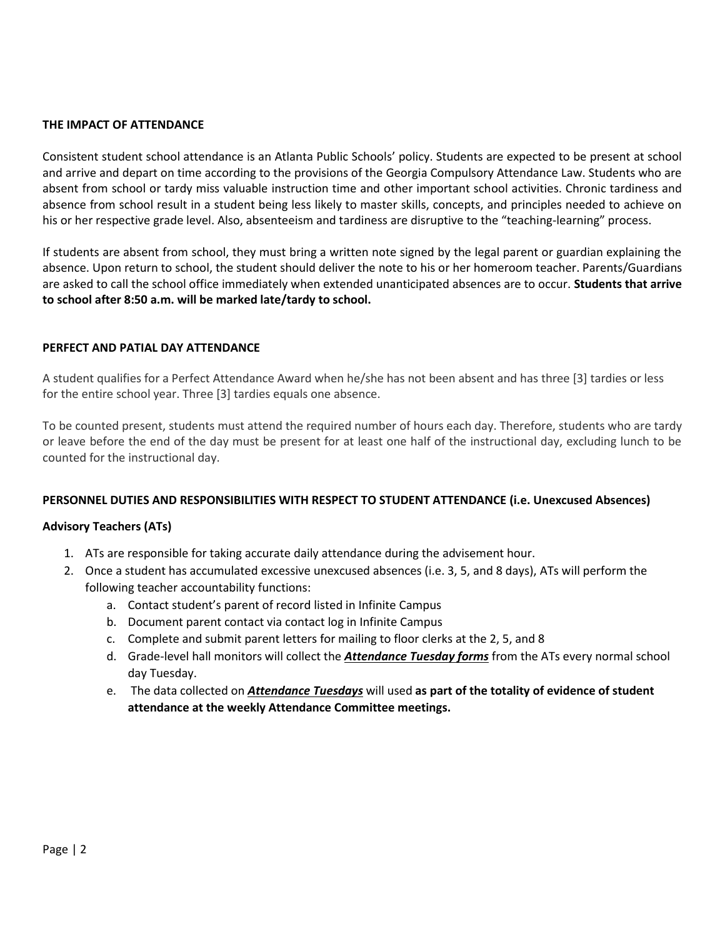#### **THE IMPACT OF ATTENDANCE**

Consistent student school attendance is an Atlanta Public Schools' policy. Students are expected to be present at school and arrive and depart on time according to the provisions of the Georgia Compulsory Attendance Law. Students who are absent from school or tardy miss valuable instruction time and other important school activities. Chronic tardiness and absence from school result in a student being less likely to master skills, concepts, and principles needed to achieve on his or her respective grade level. Also, absenteeism and tardiness are disruptive to the "teaching-learning" process.

If students are absent from school, they must bring a written note signed by the legal parent or guardian explaining the absence. Upon return to school, the student should deliver the note to his or her homeroom teacher. Parents/Guardians are asked to call the school office immediately when extended unanticipated absences are to occur. **Students that arrive to school after 8:50 a.m. will be marked late/tardy to school.**

#### **PERFECT AND PATIAL DAY ATTENDANCE**

A student qualifies for a Perfect Attendance Award when he/she has not been absent and has three [3] tardies or less for the entire school year. Three [3] tardies equals one absence.

To be counted present, students must attend the required number of hours each day. Therefore, students who are tardy or leave before the end of the day must be present for at least one half of the instructional day, excluding lunch to be counted for the instructional day.

#### **PERSONNEL DUTIES AND RESPONSIBILITIES WITH RESPECT TO STUDENT ATTENDANCE (i.e. Unexcused Absences)**

#### **Advisory Teachers (ATs)**

- 1. ATs are responsible for taking accurate daily attendance during the advisement hour.
- 2. Once a student has accumulated excessive unexcused absences (i.e. 3, 5, and 8 days), ATs will perform the following teacher accountability functions:
	- a. Contact student's parent of record listed in Infinite Campus
	- b. Document parent contact via contact log in Infinite Campus
	- c. Complete and submit parent letters for mailing to floor clerks at the 2, 5, and 8
	- d. Grade-level hall monitors will collect the *Attendance Tuesday forms* from the ATs every normal school day Tuesday.
	- e. The data collected on *Attendance Tuesdays* will used **as part of the totality of evidence of student attendance at the weekly Attendance Committee meetings.**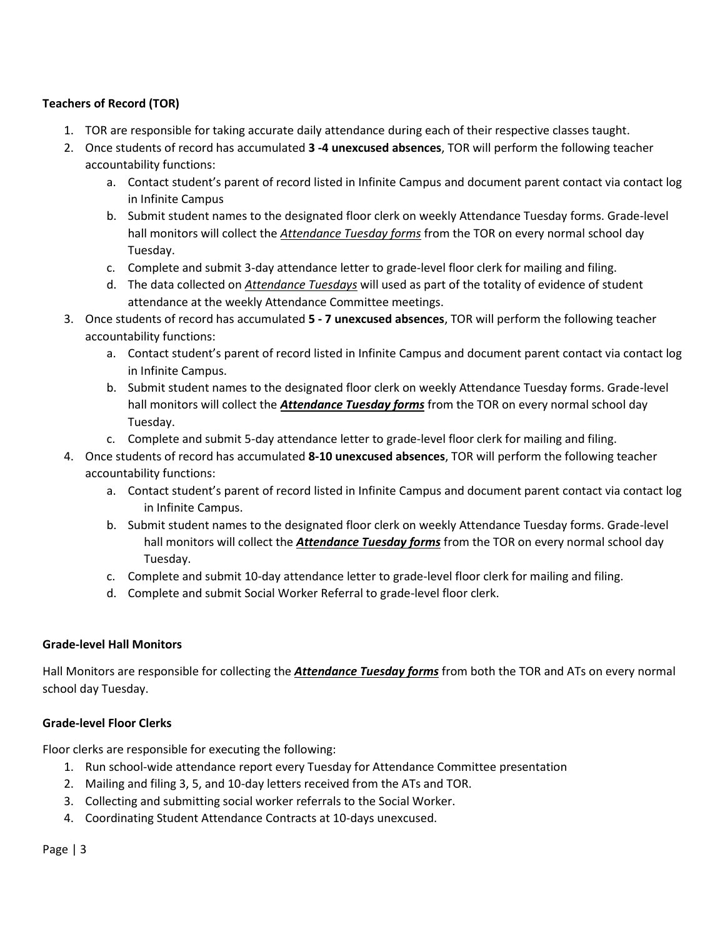### **Teachers of Record (TOR)**

- 1. TOR are responsible for taking accurate daily attendance during each of their respective classes taught.
- 2. Once students of record has accumulated **3 -4 unexcused absences**, TOR will perform the following teacher accountability functions:
	- a. Contact student's parent of record listed in Infinite Campus and document parent contact via contact log in Infinite Campus
	- b. Submit student names to the designated floor clerk on weekly Attendance Tuesday forms. Grade-level hall monitors will collect the *Attendance Tuesday forms* from the TOR on every normal school day Tuesday.
	- c. Complete and submit 3-day attendance letter to grade-level floor clerk for mailing and filing.
	- d. The data collected on *Attendance Tuesdays* will used as part of the totality of evidence of student attendance at the weekly Attendance Committee meetings.
- 3. Once students of record has accumulated **5 - 7 unexcused absences**, TOR will perform the following teacher accountability functions:
	- a. Contact student's parent of record listed in Infinite Campus and document parent contact via contact log in Infinite Campus.
	- b. Submit student names to the designated floor clerk on weekly Attendance Tuesday forms. Grade-level hall monitors will collect the *Attendance Tuesday forms* from the TOR on every normal school day Tuesday.
	- c. Complete and submit 5-day attendance letter to grade-level floor clerk for mailing and filing.
- 4. Once students of record has accumulated **8-10 unexcused absences**, TOR will perform the following teacher accountability functions:
	- a. Contact student's parent of record listed in Infinite Campus and document parent contact via contact log in Infinite Campus.
	- b. Submit student names to the designated floor clerk on weekly Attendance Tuesday forms. Grade-level hall monitors will collect the *Attendance Tuesday forms* from the TOR on every normal school day Tuesday.
	- c. Complete and submit 10-day attendance letter to grade-level floor clerk for mailing and filing.
	- d. Complete and submit Social Worker Referral to grade-level floor clerk.

### **Grade-level Hall Monitors**

Hall Monitors are responsible for collecting the *Attendance Tuesday forms* from both the TOR and ATs on every normal school day Tuesday.

### **Grade-level Floor Clerks**

Floor clerks are responsible for executing the following:

- 1. Run school-wide attendance report every Tuesday for Attendance Committee presentation
- 2. Mailing and filing 3, 5, and 10-day letters received from the ATs and TOR.
- 3. Collecting and submitting social worker referrals to the Social Worker.
- 4. Coordinating Student Attendance Contracts at 10-days unexcused.

Page | 3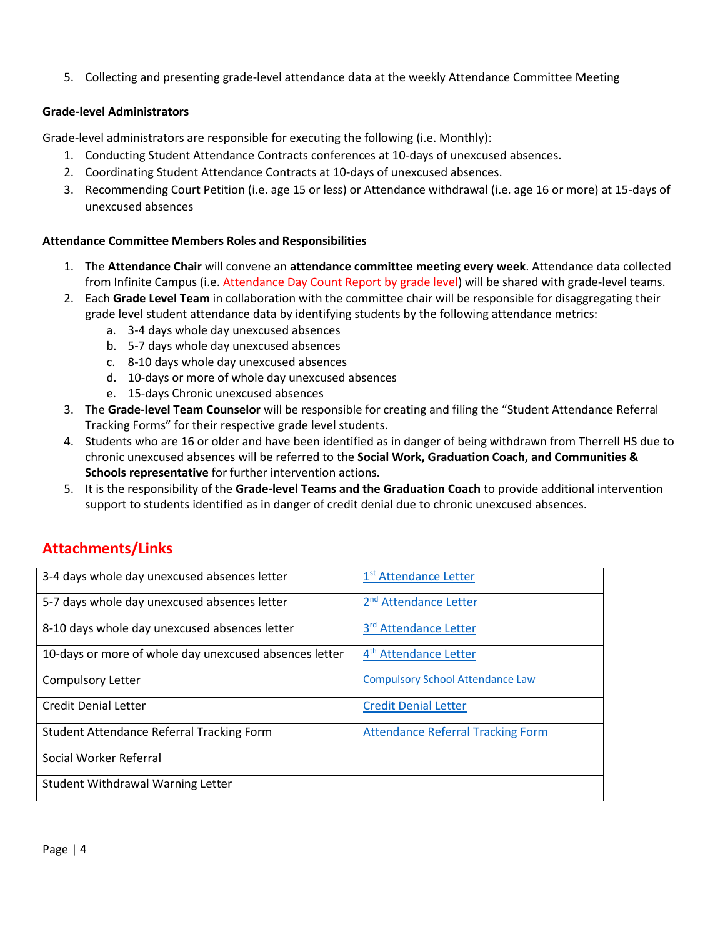5. Collecting and presenting grade-level attendance data at the weekly Attendance Committee Meeting

### **Grade-level Administrators**

Grade-level administrators are responsible for executing the following (i.e. Monthly):

- 1. Conducting Student Attendance Contracts conferences at 10-days of unexcused absences.
- 2. Coordinating Student Attendance Contracts at 10-days of unexcused absences.
- 3. Recommending Court Petition (i.e. age 15 or less) or Attendance withdrawal (i.e. age 16 or more) at 15-days of unexcused absences

### **Attendance Committee Members Roles and Responsibilities**

- 1. The **Attendance Chair** will convene an **attendance committee meeting every week**. Attendance data collected from Infinite Campus (i.e. Attendance Day Count Report by grade level) will be shared with grade-level teams.
- 2. Each **Grade Level Team** in collaboration with the committee chair will be responsible for disaggregating their grade level student attendance data by identifying students by the following attendance metrics:
	- a. 3-4 days whole day unexcused absences
	- b. 5-7 days whole day unexcused absences
	- c. 8-10 days whole day unexcused absences
	- d. 10-days or more of whole day unexcused absences
	- e. 15-days Chronic unexcused absences
- 3. The **Grade-level Team Counselor** will be responsible for creating and filing the "Student Attendance Referral Tracking Forms" for their respective grade level students.
- 4. Students who are 16 or older and have been identified as in danger of being withdrawn from Therrell HS due to chronic unexcused absences will be referred to the **Social Work, Graduation Coach, and Communities & Schools representative** for further intervention actions.
- 5. It is the responsibility of the **Grade-level Teams and the Graduation Coach** to provide additional intervention support to students identified as in danger of credit denial due to chronic unexcused absences.

### **Attachments/Links**

| 3-4 days whole day unexcused absences letter           | 1 <sup>st</sup> Attendance Letter        |
|--------------------------------------------------------|------------------------------------------|
| 5-7 days whole day unexcused absences letter           | 2 <sup>nd</sup> Attendance Letter        |
| 8-10 days whole day unexcused absences letter          | 3rd Attendance Letter                    |
| 10-days or more of whole day unexcused absences letter | 4 <sup>th</sup> Attendance Letter        |
| Compulsory Letter                                      | <b>Compulsory School Attendance Law</b>  |
| <b>Credit Denial Letter</b>                            | <b>Credit Denial Letter</b>              |
| Student Attendance Referral Tracking Form              | <b>Attendance Referral Tracking Form</b> |
| Social Worker Referral                                 |                                          |
| <b>Student Withdrawal Warning Letter</b>               |                                          |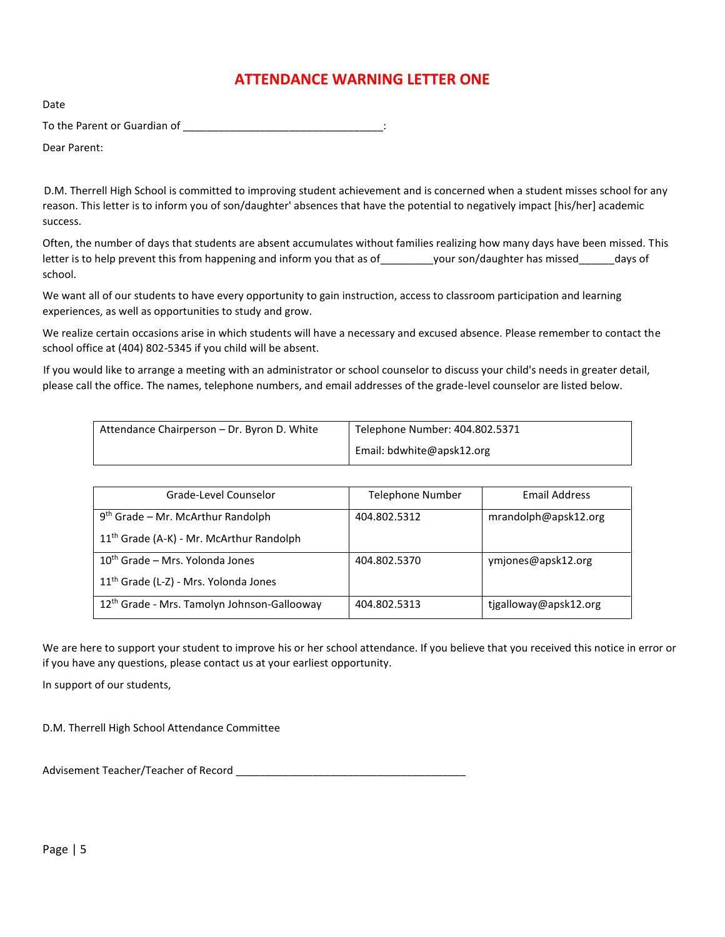### **ATTENDANCE WARNING LETTER ONE**

Date To the Parent or Guardian of \_\_\_\_\_\_\_\_\_\_\_\_\_\_\_\_\_\_\_\_\_\_\_\_\_\_\_\_\_\_\_\_\_\_:

Dear Parent:

D.M. Therrell High School is committed to improving student achievement and is concerned when a student misses school for any reason. This letter is to inform you of son/daughter' absences that have the potential to negatively impact [his/her] academic success.

Often, the number of days that students are absent accumulates without families realizing how many days have been missed. This letter is to help prevent this from happening and inform you that as of \_\_\_\_\_\_\_\_\_your son/daughter has missed \_\_\_\_\_\_days of school.

We want all of our students to have every opportunity to gain instruction, access to classroom participation and learning experiences, as well as opportunities to study and grow.

We realize certain occasions arise in which students will have a necessary and excused absence. Please remember to contact the school office at (404) 802-5345 if you child will be absent.

If you would like to arrange a meeting with an administrator or school counselor to discuss your child's needs in greater detail, please call the office. The names, telephone numbers, and email addresses of the grade-level counselor are listed below.

| Attendance Chairperson – Dr. Byron D. White | Telephone Number: 404.802.5371 |
|---------------------------------------------|--------------------------------|
|                                             | Email: bdwhite@apsk12.org      |

| Grade-Level Counselor                                   | <b>Telephone Number</b> | Email Address         |
|---------------------------------------------------------|-------------------------|-----------------------|
| $9th$ Grade – Mr. McArthur Randolph                     | 404.802.5312            | mrandolph@apsk12.org  |
| 11 <sup>th</sup> Grade (A-K) - Mr. McArthur Randolph    |                         |                       |
| $10th$ Grade – Mrs. Yolonda Jones                       | 404.802.5370            | ymjones@apsk12.org    |
| 11 <sup>th</sup> Grade (L-Z) - Mrs. Yolonda Jones       |                         |                       |
| 12 <sup>th</sup> Grade - Mrs. Tamolyn Johnson-Gallooway | 404.802.5313            | tjgalloway@apsk12.org |

We are here to support your student to improve his or her school attendance. If you believe that you received this notice in error or if you have any questions, please contact us at your earliest opportunity.

In support of our students,

D.M. Therrell High School Attendance Committee

Advisement Teacher/Teacher of Record \_\_\_\_\_\_\_\_\_\_\_\_\_\_\_\_\_\_\_\_\_\_\_\_\_\_\_\_\_\_\_\_\_\_\_\_\_\_\_

Page | 5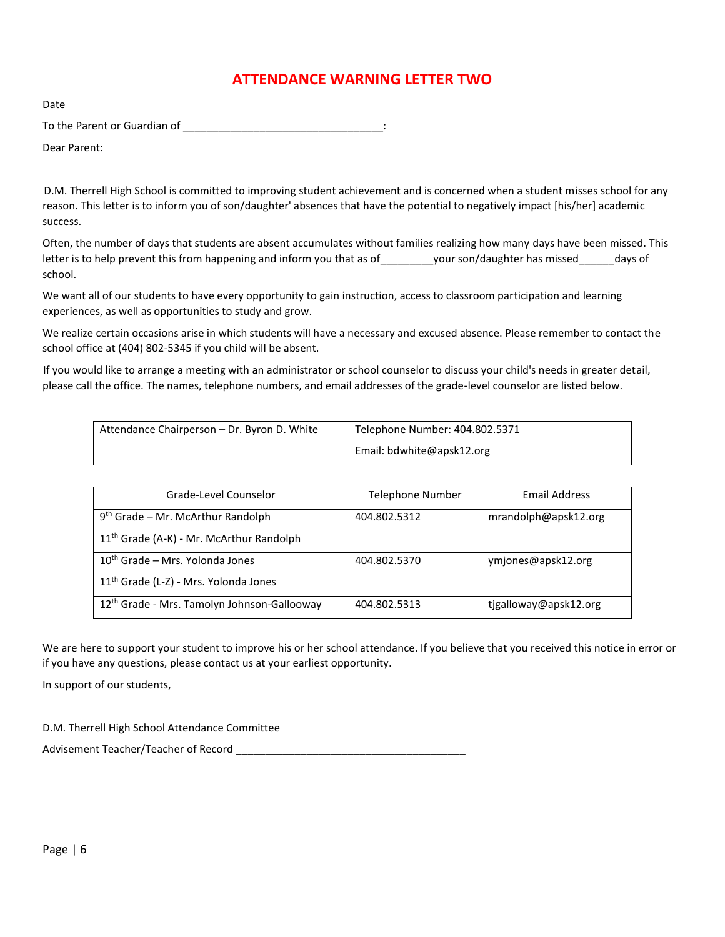### **ATTENDANCE WARNING LETTER TWO**

<span id="page-5-0"></span>Date To the Parent or Guardian of \_\_\_\_\_\_\_\_\_\_\_\_\_\_\_\_\_\_\_\_\_\_\_\_\_\_\_\_\_\_\_\_\_\_:

Dear Parent:

D.M. Therrell High School is committed to improving student achievement and is concerned when a student misses school for any reason. This letter is to inform you of son/daughter' absences that have the potential to negatively impact [his/her] academic success.

Often, the number of days that students are absent accumulates without families realizing how many days have been missed. This letter is to help prevent this from happening and inform you that as of \_\_\_\_\_\_\_\_\_your son/daughter has missed \_\_\_\_\_\_days of school.

We want all of our students to have every opportunity to gain instruction, access to classroom participation and learning experiences, as well as opportunities to study and grow.

We realize certain occasions arise in which students will have a necessary and excused absence. Please remember to contact the school office at (404) 802-5345 if you child will be absent.

If you would like to arrange a meeting with an administrator or school counselor to discuss your child's needs in greater detail, please call the office. The names, telephone numbers, and email addresses of the grade-level counselor are listed below.

| Attendance Chairperson – Dr. Byron D. White | Telephone Number: 404.802.5371 |
|---------------------------------------------|--------------------------------|
|                                             | Email: bdwhite@apsk12.org      |

| Grade-Level Counselor                                   | <b>Telephone Number</b> | Email Address         |
|---------------------------------------------------------|-------------------------|-----------------------|
| $9th$ Grade – Mr. McArthur Randolph                     | 404.802.5312            | mrandolph@apsk12.org  |
| 11 <sup>th</sup> Grade (A-K) - Mr. McArthur Randolph    |                         |                       |
| $10th$ Grade – Mrs. Yolonda Jones                       | 404.802.5370            | ymjones@apsk12.org    |
| 11 <sup>th</sup> Grade (L-Z) - Mrs. Yolonda Jones       |                         |                       |
| 12 <sup>th</sup> Grade - Mrs. Tamolyn Johnson-Gallooway | 404.802.5313            | tjgalloway@apsk12.org |

We are here to support your student to improve his or her school attendance. If you believe that you received this notice in error or if you have any questions, please contact us at your earliest opportunity.

In support of our students,

D.M. Therrell High School Attendance Committee

<span id="page-5-1"></span>Advisement Teacher/Teacher of Record \_\_\_\_\_\_\_\_\_\_\_\_\_\_\_\_\_\_\_\_\_\_\_\_\_\_\_\_\_\_\_\_\_\_\_\_\_\_\_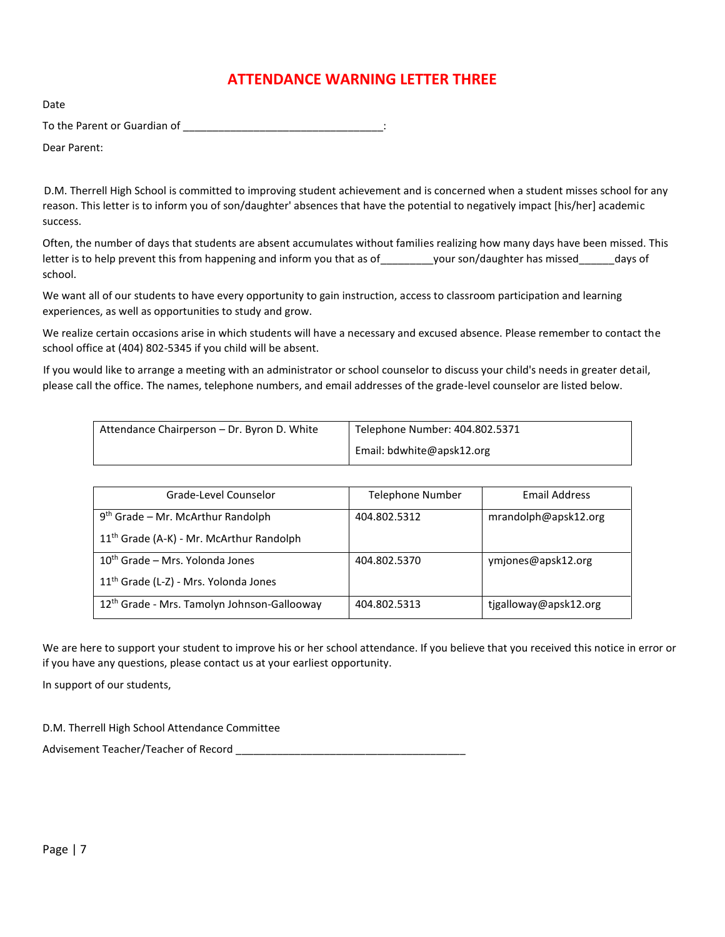### **ATTENDANCE WARNING LETTER THREE**

Date

To the Parent or Guardian of \_\_\_\_\_\_\_\_\_\_\_\_\_\_\_\_\_\_\_\_\_\_\_\_\_\_\_\_\_\_\_\_\_\_:

Dear Parent:

D.M. Therrell High School is committed to improving student achievement and is concerned when a student misses school for any reason. This letter is to inform you of son/daughter' absences that have the potential to negatively impact [his/her] academic success.

Often, the number of days that students are absent accumulates without families realizing how many days have been missed. This letter is to help prevent this from happening and inform you that as of \_\_\_\_\_\_\_\_\_your son/daughter has missed \_\_\_\_\_\_days of school.

We want all of our students to have every opportunity to gain instruction, access to classroom participation and learning experiences, as well as opportunities to study and grow.

We realize certain occasions arise in which students will have a necessary and excused absence. Please remember to contact the school office at (404) 802-5345 if you child will be absent.

If you would like to arrange a meeting with an administrator or school counselor to discuss your child's needs in greater detail, please call the office. The names, telephone numbers, and email addresses of the grade-level counselor are listed below.

| Attendance Chairperson – Dr. Byron D. White | Telephone Number: 404.802.5371 |
|---------------------------------------------|--------------------------------|
|                                             | Email: bdwhite@apsk12.org      |

| Grade-Level Counselor                                   | <b>Telephone Number</b> | Email Address         |
|---------------------------------------------------------|-------------------------|-----------------------|
| $9th$ Grade – Mr. McArthur Randolph                     | 404.802.5312            | mrandolph@apsk12.org  |
| 11 <sup>th</sup> Grade (A-K) - Mr. McArthur Randolph    |                         |                       |
| $10th$ Grade – Mrs. Yolonda Jones                       | 404.802.5370            | ymjones@apsk12.org    |
| 11 <sup>th</sup> Grade (L-Z) - Mrs. Yolonda Jones       |                         |                       |
| 12 <sup>th</sup> Grade - Mrs. Tamolyn Johnson-Gallooway | 404.802.5313            | tjgalloway@apsk12.org |

We are here to support your student to improve his or her school attendance. If you believe that you received this notice in error or if you have any questions, please contact us at your earliest opportunity.

In support of our students,

D.M. Therrell High School Attendance Committee

<span id="page-6-0"></span>Advisement Teacher/Teacher of Record \_\_\_\_\_\_\_\_\_\_\_\_\_\_\_\_\_\_\_\_\_\_\_\_\_\_\_\_\_\_\_\_\_\_\_\_\_\_\_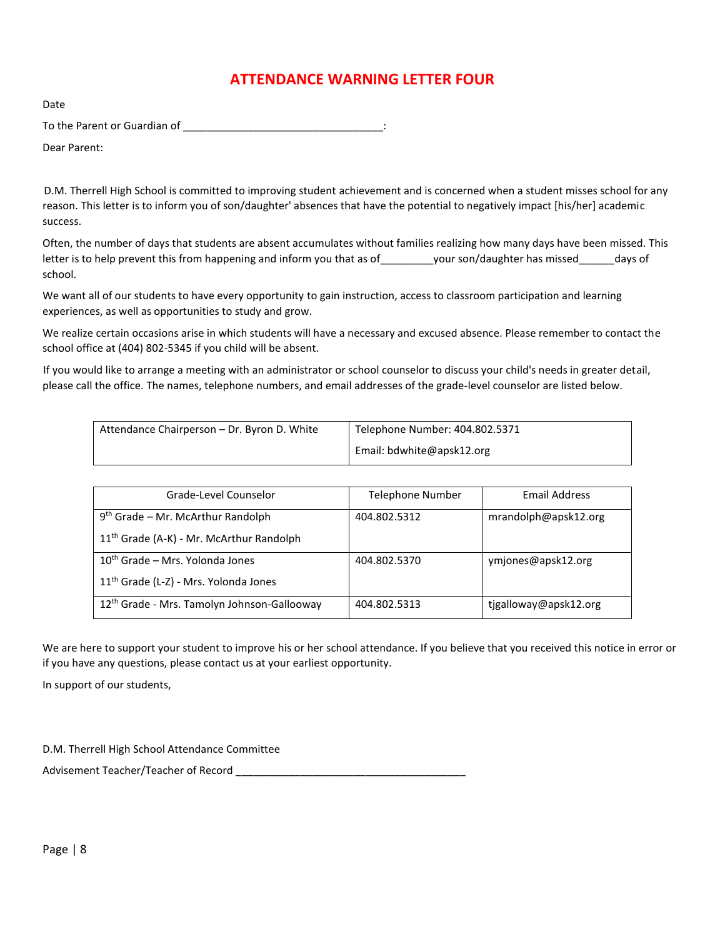### **ATTENDANCE WARNING LETTER FOUR**

<span id="page-7-0"></span>Date

To the Parent or Guardian of \_\_\_\_\_\_\_\_\_\_\_\_\_\_\_\_\_\_\_\_\_\_\_\_\_\_\_\_\_\_\_\_\_\_:

Dear Parent:

D.M. Therrell High School is committed to improving student achievement and is concerned when a student misses school for any reason. This letter is to inform you of son/daughter' absences that have the potential to negatively impact [his/her] academic success.

Often, the number of days that students are absent accumulates without families realizing how many days have been missed. This letter is to help prevent this from happening and inform you that as of \_\_\_\_\_\_\_\_\_your son/daughter has missed \_\_\_\_\_\_days of school.

We want all of our students to have every opportunity to gain instruction, access to classroom participation and learning experiences, as well as opportunities to study and grow.

We realize certain occasions arise in which students will have a necessary and excused absence. Please remember to contact the school office at (404) 802-5345 if you child will be absent.

If you would like to arrange a meeting with an administrator or school counselor to discuss your child's needs in greater detail, please call the office. The names, telephone numbers, and email addresses of the grade-level counselor are listed below.

| Attendance Chairperson – Dr. Byron D. White | Telephone Number: 404.802.5371 |
|---------------------------------------------|--------------------------------|
|                                             | Email: bdwhite@apsk12.org      |

| Grade-Level Counselor                                   | <b>Telephone Number</b> | Email Address         |
|---------------------------------------------------------|-------------------------|-----------------------|
| $9th$ Grade – Mr. McArthur Randolph                     | 404.802.5312            | mrandolph@apsk12.org  |
| 11 <sup>th</sup> Grade (A-K) - Mr. McArthur Randolph    |                         |                       |
| $10th$ Grade – Mrs. Yolonda Jones                       | 404.802.5370            | ymjones@apsk12.org    |
| 11 <sup>th</sup> Grade (L-Z) - Mrs. Yolonda Jones       |                         |                       |
| 12 <sup>th</sup> Grade - Mrs. Tamolyn Johnson-Gallooway | 404.802.5313            | tjgalloway@apsk12.org |

We are here to support your student to improve his or her school attendance. If you believe that you received this notice in error or if you have any questions, please contact us at your earliest opportunity.

In support of our students,

D.M. Therrell High School Attendance Committee

Advisement Teacher/Teacher of Record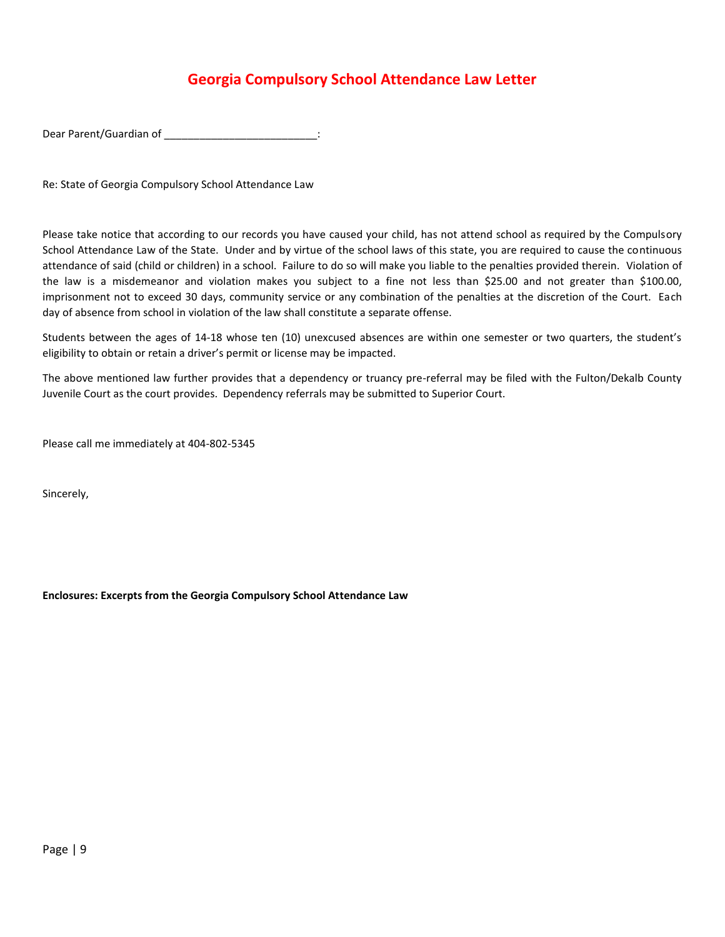### **Georgia Compulsory School Attendance Law Letter**

Dear Parent/Guardian of \_\_\_\_\_\_\_\_\_\_\_\_\_\_\_\_\_\_\_\_\_\_\_\_\_\_\_\_\_\_:

Re: State of Georgia Compulsory School Attendance Law

Please take notice that according to our records you have caused your child, has not attend school as required by the Compulsory School Attendance Law of the State. Under and by virtue of the school laws of this state, you are required to cause the continuous attendance of said (child or children) in a school. Failure to do so will make you liable to the penalties provided therein. Violation of the law is a misdemeanor and violation makes you subject to a fine not less than \$25.00 and not greater than \$100.00, imprisonment not to exceed 30 days, community service or any combination of the penalties at the discretion of the Court. Each day of absence from school in violation of the law shall constitute a separate offense.

Students between the ages of 14-18 whose ten (10) unexcused absences are within one semester or two quarters, the student's eligibility to obtain or retain a driver's permit or license may be impacted.

The above mentioned law further provides that a dependency or truancy pre-referral may be filed with the Fulton/Dekalb County Juvenile Court as the court provides. Dependency referrals may be submitted to Superior Court.

Please call me immediately at 404-802-5345

Sincerely,

**Enclosures: Excerpts from the Georgia Compulsory School Attendance Law**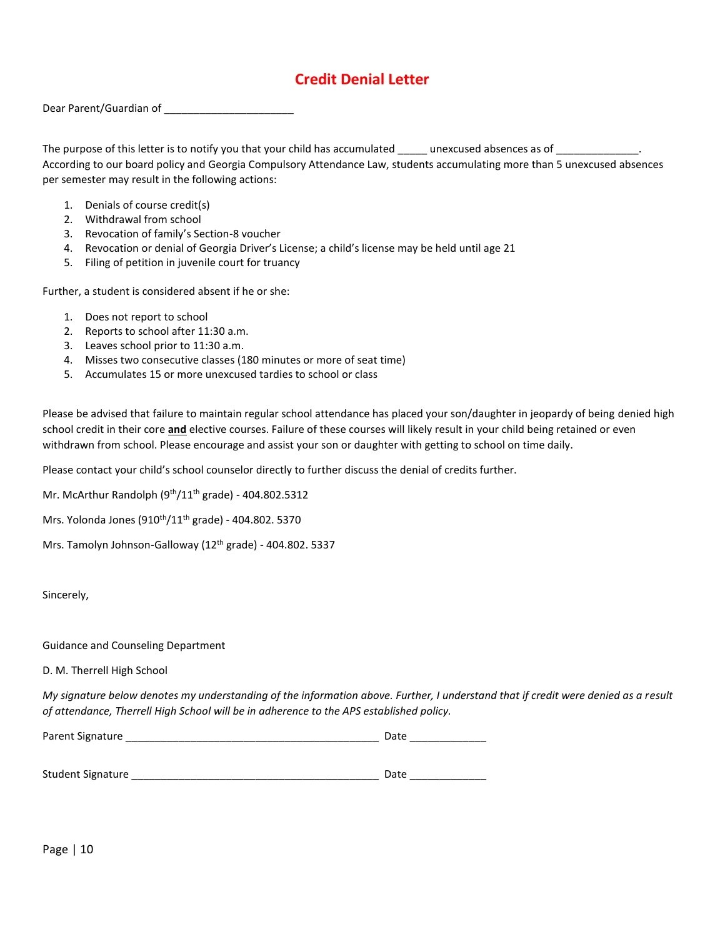### **Credit Denial Letter**

<span id="page-9-0"></span>Dear Parent/Guardian of \_\_\_\_\_\_\_\_\_\_\_\_\_\_\_\_\_\_\_\_\_\_

The purpose of this letter is to notify you that your child has accumulated \_\_\_\_\_ unexcused absences as of \_\_\_\_\_\_\_\_\_\_\_\_\_\_. According to our board policy and Georgia Compulsory Attendance Law, students accumulating more than 5 unexcused absences per semester may result in the following actions:

- 1. Denials of course credit(s)
- 2. Withdrawal from school
- 3. Revocation of family's Section-8 voucher
- 4. Revocation or denial of Georgia Driver's License; a child's license may be held until age 21
- 5. Filing of petition in juvenile court for truancy

Further, a student is considered absent if he or she:

- 1. Does not report to school
- 2. Reports to school after 11:30 a.m.
- 3. Leaves school prior to 11:30 a.m.
- 4. Misses two consecutive classes (180 minutes or more of seat time)
- 5. Accumulates 15 or more unexcused tardies to school or class

Please be advised that failure to maintain regular school attendance has placed your son/daughter in jeopardy of being denied high school credit in their core **and** elective courses. Failure of these courses will likely result in your child being retained or even withdrawn from school. Please encourage and assist your son or daughter with getting to school on time daily.

Please contact your child's school counselor directly to further discuss the denial of credits further.

Mr. McArthur Randolph (9<sup>th</sup>/11<sup>th</sup> grade) - 404.802.5312

Mrs. Yolonda Jones (910<sup>th</sup>/11<sup>th</sup> grade) - 404.802. 5370

Mrs. Tamolyn Johnson-Galloway (12<sup>th</sup> grade) - 404.802. 5337

Sincerely,

Guidance and Counseling Department

D. M. Therrell High School

*My signature below denotes my understanding of the information above. Further, I understand that if credit were denied as a result of attendance, Therrell High School will be in adherence to the APS established policy.*

| Parent Signature  | Date |
|-------------------|------|
|                   |      |
|                   |      |
| Student Signature | Date |

Page | 10